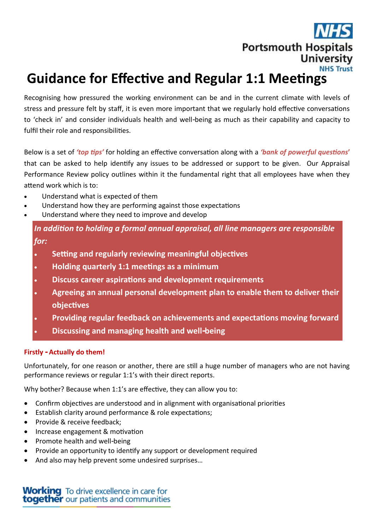# **Portsmouth Hospitals University NHS Trust**

# **Guidance for Effective and Regular 1:1 Meetings**

Recognising how pressured the working environment can be and in the current climate with levels of stress and pressure felt by staff, it is even more important that we regularly hold effective conversations to 'check in' and consider individuals health and well-being as much as their capability and capacity to fulfil their role and responsibilities.

Below is a set of *'top tips'* for holding an effective conversation along with a *'bank of powerful questions***'**  that can be asked to help identify any issues to be addressed or support to be given. Our Appraisal Performance Review policy outlines within it the fundamental right that all employees have when they attend work which is to:

- Understand what is expected of them
- Understand how they are performing against those expectations
- Understand where they need to improve and develop

*In addition to holding a formal annual appraisal, all line managers are responsible for:*

- **Setting and regularly reviewing meaningful objectives**
- **Holding quarterly 1:1 meetings as a minimum**
- **Discuss career aspirations and development requirements**
- **Agreeing an annual personal development plan to enable them to deliver their objectives**
- **Providing regular feedback on achievements and expectations moving forward**
- **Discussing and managing health and well-being**

# **Firstly - Actually do them!**

Unfortunately, for one reason or another, there are still a huge number of managers who are not having performance reviews or regular 1:1's with their direct reports.

Why bother? Because when 1:1's are effective, they can allow you to:

- Confirm objectives are understood and in alignment with organisational priorities
- Establish clarity around performance & role expectations;
- Provide & receive feedback:
- Increase engagement & motivation
- Promote health and well-being
- Provide an opportunity to identify any support or development required
- And also may help prevent some undesired surprises…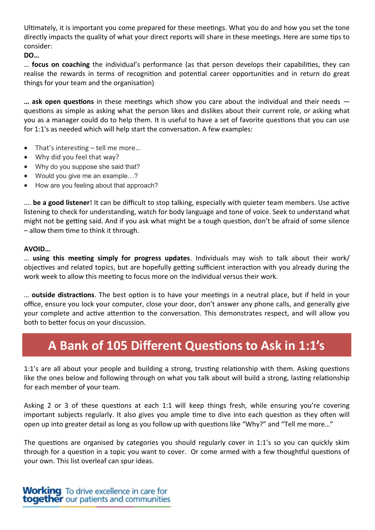Ultimately, it is important you come prepared for these meetings. What you do and how you set the tone directly impacts the quality of what your direct reports will share in these meetings. Here are some tips to consider:

**DO…**

… **focus on coaching** the individual's performance (as that person develops their capabilities, they can realise the rewards in terms of recognition and potential career opportunities and in return do great things for your team and the organisation)

**… ask open questions** in these meetings which show you care about the individual and their needs questions as simple as asking what the person likes and dislikes about their current role, or asking what you as a manager could do to help them. It is useful to have a set of favorite questions that you can use for 1:1's as needed which will help start the conversation. A few examples:

- That's interesting tell me more...
- Why did you feel that way?
- Why do you suppose she said that?
- Would you give me an example...?
- How are you feeling about that approach?

…. **be a good listener**! It can be difficult to stop talking, especially with quieter team members. Use active listening to check for understanding, watch for body language and tone of voice. Seek to understand what might not be getting said. And if you ask what might be a tough question, don't be afraid of some silence – allow them time to think it through.

#### **AVOID…**

… **using this meeting simply for progress updates**. Individuals may wish to talk about their work/ objectives and related topics, but are hopefully getting sufficient interaction with you already during the work week to allow this meeting to focus more on the individual versus their work.

… **outside distractions**. The best option is to have your meetings in a neutral place, but if held in your office, ensure you lock your computer, close your door, don't answer any phone calls, and generally give your complete and active attention to the conversation. This demonstrates respect, and will allow you both to better focus on your discussion.

# **A Bank of 105 Different Questions to Ask in 1:1's**

1:1's are all about your people and building a strong, trusting relationship with them. Asking questions like the ones below and following through on what you talk about will build a strong, lasting relationship for each member of your team.

Asking 2 or 3 of these questions at each 1:1 will keep things fresh, while ensuring you're covering important subjects regularly. It also gives you ample time to dive into each question as they often will open up into greater detail as long as you follow up with questions like "Why?" and "Tell me more…"

The questions are organised by categories you should regularly cover in 1:1's so you can quickly skim through for a question in a topic you want to cover. Or come armed with a few thoughtful questions of your own. This list overleaf can spur ideas.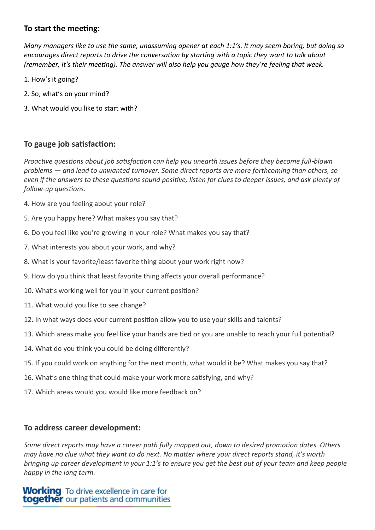# **To start the meeting:**

*Many managers like to use the same, unassuming opener at each 1:1's. It may seem boring, but doing so encourages direct reports to drive the conversation by starting with a topic they want to talk about (remember, it's their meeting). The answer will also help you gauge how they're feeling that week.*

- 1. How's it going?
- 2. So, what's on your mind?
- 3. What would you like to start with?

# **To gauge job satisfaction:**

*Proactive questions about job satisfaction can help you unearth issues before they become full-blown problems — and lead to unwanted turnover. Some direct reports are more forthcoming than others, so even if the answers to these questions sound positive, listen for clues to deeper issues, and ask plenty of follow-up questions.*

- 4. How are you feeling about your role?
- 5. Are you happy here? What makes you say that?
- 6. Do you feel like you're growing in your role? What makes you say that?
- 7. What interests you about your work, and why?
- 8. What is your favorite/least favorite thing about your work right now?
- 9. How do you think that least favorite thing affects your overall performance?
- 10. What's working well for you in your current position?
- 11. What would you like to see change?
- 12. In what ways does your current position allow you to use your skills and talents?
- 13. Which areas make you feel like your hands are tied or you are unable to reach your full potential?
- 14. What do you think you could be doing differently?
- 15. If you could work on anything for the next month, what would it be? What makes you say that?
- 16. What's one thing that could make your work more satisfying, and why?
- 17. Which areas would you would like more feedback on?

#### **To address career development:**

*Some direct reports may have a career path fully mapped out, down to desired promotion dates. Others may have no clue what they want to do next. No matter where your direct reports stand, it's worth bringing up career development in your 1:1's to ensure you get the best out of your team and keep people happy in the long term.*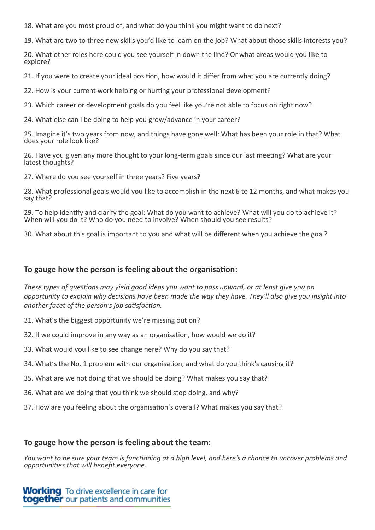18. What are you most proud of, and what do you think you might want to do next?

19. What are two to three new skills you'd like to learn on the job? What about those skills interests you?

20. What other roles here could you see yourself in down the line? Or what areas would you like to explore?

21. If you were to create your ideal position, how would it differ from what you are currently doing?

22. How is your current work helping or hurting your professional development?

23. Which career or development goals do you feel like you're not able to focus on right now?

24. What else can I be doing to help you grow/advance in your career?

25. Imagine it's two years from now, and things have gone well: What has been your role in that? What does your role look like?

26. Have you given any more thought to your long-term goals since our last meeting? What are your latest thoughts?

27. Where do you see yourself in three years? Five years?

28. What professional goals would you like to accomplish in the next 6 to 12 months, and what makes you say that?

29. To help identify and clarify the goal: What do you want to achieve? What will you do to achieve it? When will you do it? Who do you need to involve? When should you see results?

30. What about this goal is important to you and what will be different when you achieve the goal?

# **To gauge how the person is feeling about the organisation:**

*These types of questions may yield good ideas you want to pass upward, or at least give you an opportunity to explain why decisions have been made the way they have. They'll also give you insight into another facet of the person's job satisfaction.*

- 31. What's the biggest opportunity we're missing out on?
- 32. If we could improve in any way as an organisation, how would we do it?
- 33. What would you like to see change here? Why do you say that?
- 34. What's the No. 1 problem with our organisation, and what do you think's causing it?
- 35. What are we not doing that we should be doing? What makes you say that?
- 36. What are we doing that you think we should stop doing, and why?
- 37. How are you feeling about the organisation's overall? What makes you say that?

#### **To gauge how the person is feeling about the team:**

*You want to be sure your team is functioning at a high level, and here's a chance to uncover problems and opportunities that will benefit everyone.*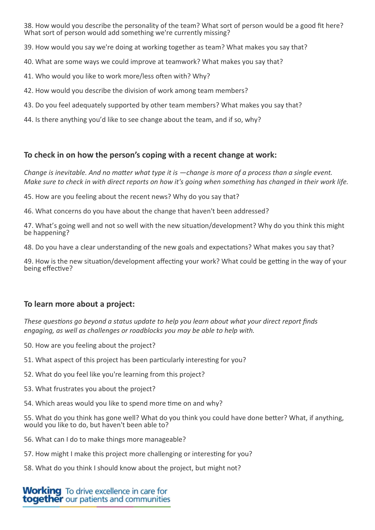38. How would you describe the personality of the team? What sort of person would be a good fit here? What sort of person would add something we're currently missing?

39. How would you say we're doing at working together as team? What makes you say that?

40. What are some ways we could improve at teamwork? What makes you say that?

41. Who would you like to work more/less often with? Why?

42. How would you describe the division of work among team members?

43. Do you feel adequately supported by other team members? What makes you say that?

44. Is there anything you'd like to see change about the team, and if so, why?

#### **To check in on how the person's coping with a recent change at work:**

*Change is inevitable. And no matter what type it is —change is more of a process than a single event. Make sure to check in with direct reports on how it's going when something has changed in their work life.*

45. How are you feeling about the recent news? Why do you say that?

46. What concerns do you have about the change that haven't been addressed?

47. What's going well and not so well with the new situation/development? Why do you think this might be happening?

48. Do you have a clear understanding of the new goals and expectations? What makes you say that?

49. How is the new situation/development affecting your work? What could be getting in the way of your being effective?

# **To learn more about a project:**

*These questions go beyond a status update to help you learn about what your direct report finds engaging, as well as challenges or roadblocks you may be able to help with.*

- 50. How are you feeling about the project?
- 51. What aspect of this project has been particularly interesting for you?
- 52. What do you feel like you're learning from this project?
- 53. What frustrates you about the project?
- 54. Which areas would you like to spend more time on and why?

55. What do you think has gone well? What do you think you could have done better? What, if anything, would you like to do, but haven't been able to?

- 56. What can I do to make things more manageable?
- 57. How might I make this project more challenging or interesting for you?
- 58. What do you think I should know about the project, but might not?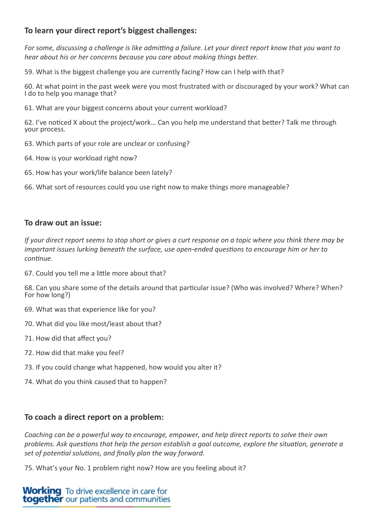# **To learn your direct report's biggest challenges:**

*For some, discussing a challenge is like admitting a failure. Let your direct report know that you want to hear about his or her concerns because you care about making things better.*

59. What is the biggest challenge you are currently facing? How can I help with that?

60. At what point in the past week were you most frustrated with or discouraged by your work? What can I do to help you manage that?

61. What are your biggest concerns about your current workload?

62. I've noticed X about the project/work… Can you help me understand that better? Talk me through your process.

- 63. Which parts of your role are unclear or confusing?
- 64. How is your workload right now?
- 65. How has your work/life balance been lately?

66. What sort of resources could you use right now to make things more manageable?

#### **To draw out an issue:**

*If your direct report seems to stop short or gives a curt response on a topic where you think there may be important issues lurking beneath the surface, use open-ended questions to encourage him or her to continue.*

67. Could you tell me a little more about that?

68. Can you share some of the details around that particular issue? (Who was involved? Where? When? For how long?)

- 69. What was that experience like for you?
- 70. What did you like most/least about that?
- 71. How did that affect you?
- 72. How did that make you feel?
- 73. If you could change what happened, how would you alter it?
- 74. What do you think caused that to happen?

# **To coach a direct report on a problem:**

*Coaching can be a powerful way to encourage, empower, and help direct reports to solve their own problems. Ask questions that help the person establish a goal outcome, explore the situation, generate a set of potential solutions, and finally plan the way forward.*

75. What's your No. 1 problem right now? How are you feeling about it?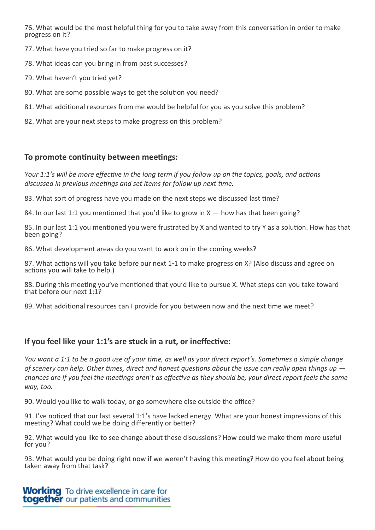76. What would be the most helpful thing for you to take away from this conversation in order to make progress on it?

- 77. What have you tried so far to make progress on it?
- 78. What ideas can you bring in from past successes?
- 79. What haven't you tried yet?
- 80. What are some possible ways to get the solution you need?
- 81. What additional resources from me would be helpful for you as you solve this problem?
- 82. What are your next steps to make progress on this problem?

#### **To promote continuity between meetings:**

*Your 1:1's will be more effective in the long term if you follow up on the topics, goals, and actions discussed in previous meetings and set items for follow up next time.*

83. What sort of progress have you made on the next steps we discussed last time?

84. In our last 1:1 you mentioned that you'd like to grow in X — how has that been going?

85. In our last 1:1 you mentioned you were frustrated by X and wanted to try Y as a solution. How has that been going?

86. What development areas do you want to work on in the coming weeks?

87. What actions will you take before our next 1-1 to make progress on X? (Also discuss and agree on actions you will take to help.)

88. During this meeting you've mentioned that you'd like to pursue X. What steps can you take toward that before our next 1:1?

89. What additional resources can I provide for you between now and the next time we meet?

# **If you feel like your 1:1's are stuck in a rut, or ineffective:**

*You want a 1:1 to be a good use of your time, as well as your direct report's. Sometimes a simple change of scenery can help. Other times, direct and honest questions about the issue can really open things up chances are if you feel the meetings aren't as effective as they should be, your direct report feels the same way, too.*

90. Would you like to walk today, or go somewhere else outside the office?

91. I've noticed that our last several 1:1's have lacked energy. What are your honest impressions of this meeting? What could we be doing differently or better?

92. What would you like to see change about these discussions? How could we make them more useful for you?

93. What would you be doing right now if we weren't having this meeting? How do you feel about being taken away from that task?